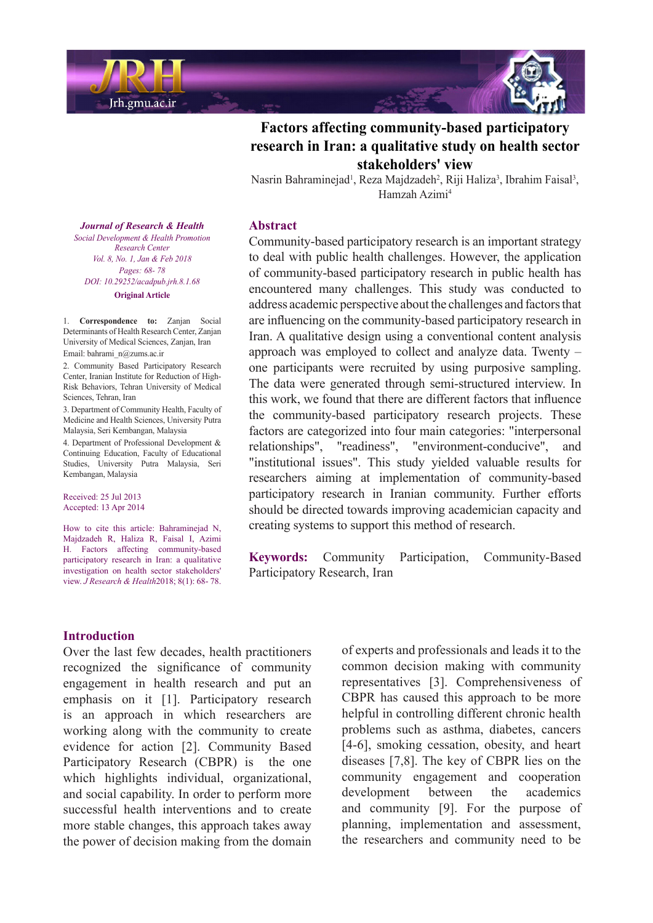



# **Factors affecting community-based participatory research in Iran: a qualitative study on health sector** stakeholders' view

Nasrin Bahraminejad<sup>1</sup>, Reza Majdzadeh<sup>2</sup>, Riji Haliza<sup>3</sup>, Ibrahim Faisal<sup>3</sup>, Hamzah Azimi<sup>4</sup>

#### **Abstract**

Community-based participatory research is an important strategy to deal with public health challenges. However, the application of community-based participatory research in public health has encountered many challenges. This study was conducted to address academic perspective about the challenges and factors that are influencing on the community-based participatory research in Iran. A qualitative design using a conventional content analysis approach was employed to collect and analyze data. Twenty  $$ one participants were recruited by using purposive sampling. The data were generated through semi-structured interview. In this work, we found that there are different factors that influence the community-based participatory research projects. These factors are categorized into four main categories: "interpersonal relationships", "readiness", "environment-conducive", and "institutional issues". This study yielded valuable results for researchers aiming at implementation of community-based participatory research in Iranian community. Further efforts should be directed towards improving academician capacity and creating systems to support this method of research.

Keywords: Community Participation, Community-Based Participatory Research, Iran

**Journal of Research & Health**  *Promotion Health & Development Social Center Research Vol. 8, No. 1, Jan & Feb 2018 Pages*: 68-78 *DOI*: 10.29252/acadpub.jrh.8.1.68 **Original** Article

1. **Correspondence** to: Zanjan Social Determinants of Health Research Center, Zanjan University of Medical Sciences, Zanjan, Iran Email: bahrami\_n@zums.ac.ir

2. Community Based Participatory Research Risk Behaviors, Tehran University of Medical Center, Iranian Institute for Reduction of High-Sciences, Tehran, Iran

3. Department of Community Health, Faculty of Medicine and Health Sciences, University Putra Malaysia, Seri Kembangan, Malaysia

4. Department of Professional Development & Continuing Education, Faculty of Educational Studies, University Putra Malaysia, Seri Kembangan, Malaysia

Received: 25 Jul 2013 Accepted: 13 Apr 2014

How to cite this article: Bahraminejad N, Majdzadeh R, Haliza R, Faisal I, Azimi H. Factors affecting community-based participatory research in Iran: a qualitative investigation on health sector stakeholders' view. *J Research & Health* 2018; 8(1): 68-78.

#### **Introduction**

Over the last few decades, health practitioners recognized the significance of community engagement in health research and put an emphasis on it [1]. Participatory research is an approach in which researchers are working along with the community to create evidence for action [2]. Community Based Participatory Research (CBPR) is the one which highlights individual, organizational, and social capability. In order to perform more successful health interventions and to create more stable changes, this approach takes away the power of decision making from the domain

of experts and professionals and leads it to the common decision making with community representatives [3]. Comprehensiveness of CBPR has caused this approach to be more helpful in controlling different chronic health problems such as asthma, diabetes, cancers  $[4-6]$ , smoking cessation, obesity, and heart diseases  $[7,8]$ . The key of CBPR lies on the community engagement and cooperation development between the academics and community  $[9]$ . For the purpose of planning, implementation and assessment, the researchers and community need to be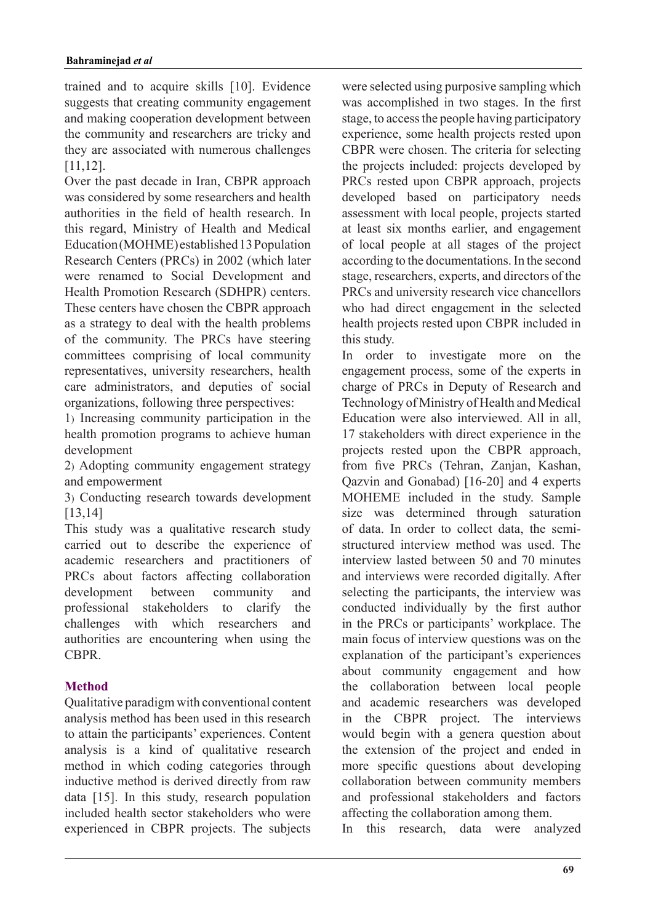trained and to acquire skills [10]. Evidence suggests that creating community engagement and making cooperation development between the community and researchers are tricky and they are associated with numerous challenges .[11,12]

Over the past decade in Iran, CBPR approach was considered by some researchers and health authorities in the field of health research. In this regard, Ministry of Health and Medical Education (MOHME) established 13 Population Research Centers (PRCs) in 2002 (which later were renamed to Social Development and Health Promotion Research (SDHPR) centers. These centers have chosen the CBPR approach as a strategy to deal with the health problems of the community. The PRCs have steering committees comprising of local community representatives, university researchers, health care administrators, and deputies of social organizations, following three perspectives:

1) Increasing community participation in the health promotion programs to achieve human development

2) Adopting community engagement strategy and empowerment

3) Conducting research towards development [13,14]

This study was a qualitative research study carried out to describe the experience of academic researchers and practitioners of PRCs about factors affecting collaboration development between community and professional stakeholders to clarify the challenges with which researchers and authorities are encountering when using the .CBPR

## **Method**

Qualitative paradigm with conventional content analysis method has been used in this research to attain the participants' experiences. Content analysis is a kind of qualitative research method in which coding categories through inductive method is derived directly from raw data  $[15]$ . In this study, research population included health sector stakeholders who were experienced in CBPR projects. The subjects were selected using purposive sampling which was accomplished in two stages. In the first stage, to access the people having participatory experience, some health projects rested upon CBPR were chosen. The criteria for selecting the projects included: projects developed by PRCs rested upon CBPR approach, projects developed based on participatory needs assessment with local people, projects started at least six months earlier, and engagement of local people at all stages of the project according to the documentations. In the second stage, researchers, experts, and directors of the PRCs and university research vice chancellors who had direct engagement in the selected health projects rested upon CBPR included in this study.

In order to investigate more on the engagement process, some of the experts in charge of PRCs in Deputy of Research and Technology of Ministry of Health and Medical Education were also interviewed. All in all. 17 stakeholders with direct experience in the projects rested upon the CBPR approach, from five PRCs (Tehran, Zanjan, Kashan, Qazvin and Gonabad)  $[16-20]$  and 4 experts MOHEME included in the study. Sample size was determined through saturation structured interview method was used. The of data. In order to collect data, the semiinterview lasted between 50 and 70 minutes and interviews were recorded digitally. After selecting the participants, the interview was conducted individually by the first author in the PRCs or participants' workplace. The main focus of interview questions was on the explanation of the participant's experiences about community engagement and how the collaboration between local people and academic researchers was developed in the CBPR project. The interviews would begin with a genera question about the extension of the project and ended in more specific questions about developing collaboration between community members and professional stakeholders and factors affecting the collaboration among them.

In this research, data were analyzed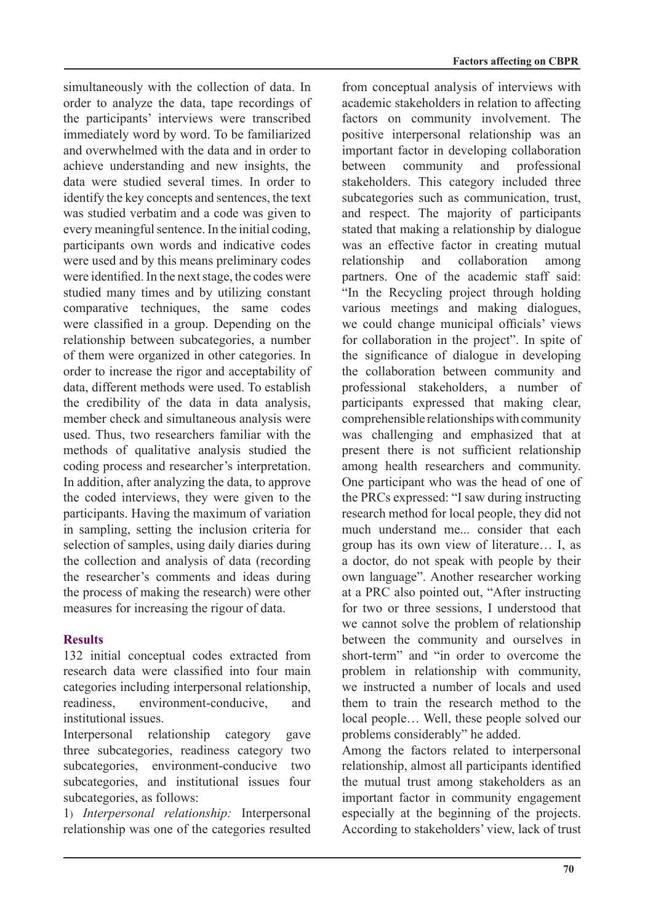simultaneously with the collection of data. In order to analyze the data, tape recordings of the participants' interviews were transcribed immediately word by word. To be familiarized and overwhelmed with the data and in order to achieve understanding and new insights, the data were studied several times. In order to identify the key concepts and sentences, the text was studied verbatim and a code was given to every meaningful sentence. In the initial coding, participants own words and indicative codes were used and by this means preliminary codes were identified. In the next stage, the codes were studied many times and by utilizing constant comparative techniques, the same codes were classified in a group. Depending on the relationship between subcategories, a number of them were organized in other categories. In order to increase the rigor and acceptability of data, different methods were used. To establish the credibility of the data in data analysis. member check and simultaneous analysis were used. Thus, two researchers familiar with the methods of qualitative analysis studied the coding process and researcher's interpretation. In addition, after analyzing the data, to approve the coded interviews, they were given to the participants. Having the maximum of variation in sampling, setting the inclusion criteria for selection of samples, using daily diaries during the collection and analysis of data (recording the researcher's comments and ideas during the process of making the research) were other measures for increasing the rigour of data.

## **Results**

132 initial conceptual codes extracted from research data were classified into four main categories including interpersonal relationship, readiness environment-conducive and institutional issues.

Interpersonal relationship category gave three subcategories, readiness category two subcategories, environment-conducive two subcategories, and institutional issues four subcategories, as follows:

1) Interpersonal *relationship*: Interpersonal relationship was one of the categories resulted from conceptual analysis of interviews with academic stakeholders in relation to affecting factors on community involvement. The positive interpersonal relationship was an important factor in developing collaboration between community and professional stakeholders. This category included three subcategories such as communication, trust, and respect. The majority of participants stated that making a relationship by dialogue was an effective factor in creating mutual relationship and collaboration among partners. One of the academic staff said: "In the Recycling project through holding various meetings and making dialogues, we could change municipal officials' views for collaboration in the project". In spite of the significance of dialogue in developing the collaboration between community and professional stakeholders, a number of participants expressed that making clear. comprehensible relationships with community was challenging and emphasized that at present there is not sufficient relationship among health researchers and community. One participant who was the head of one of the PRCs expressed: "I saw during instructing research method for local people, they did not much understand me... consider that each group has its own view of literature... I, as a doctor, do not speak with people by their own language". Another researcher working at a PRC also pointed out, "After instructing for two or three sessions. I understood that we cannot solve the problem of relationship between the community and ourselves in short-term" and "in order to overcome the problem in relationship with community, we instructed a number of locals and used them to train the research method to the local people... Well, these people solved our problems considerably" he added.

Among the factors related to interpersonal relationship, almost all participants identified the mutual trust among stakeholders as an important factor in community engagement especially at the beginning of the projects. According to stakeholders' view, lack of trust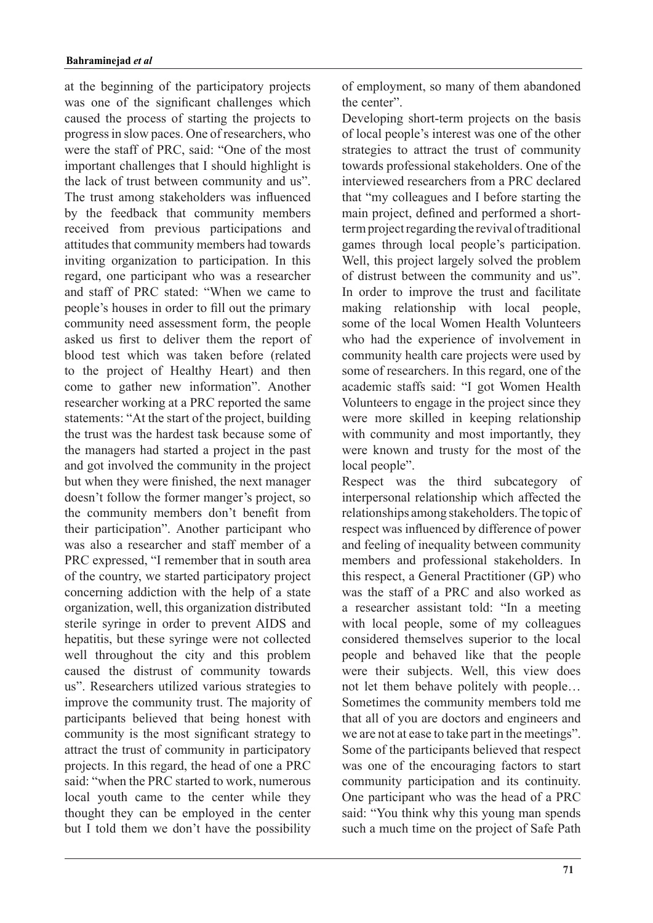at the beginning of the participatory projects was one of the significant challenges which caused the process of starting the projects to progress in slow paces. One of researchers, who were the staff of PRC, said: "One of the most important challenges that I should highlight is the lack of trust between community and us". The trust among stakeholders was influenced by the feedback that community members received from previous participations and attitudes that community members had towards inviting organization to participation. In this regard, one participant who was a researcher and staff of PRC stated: "When we came to proprimate is housed in order to fill out the primary community need assessment form, the people asked us first to deliver them the report of blood test which was taken before (related to the project of Healthy Heart) and then come to gather new information". Another researcher working at a PRC reported the same statements: "At the start of the project, building the trust was the hardest task because some of the managers had started a project in the past and got involved the community in the project but when they were finished, the next manager doesn't follow the former manger's project, so the community members don't benefit from their participation". Another participant who was also a researcher and staff member of a PRC expressed, "I remember that in south area of the country, we started participatory project concerning addiction with the help of a state organization, well, this organization distributed sterile syringe in order to prevent AIDS and hepatitis, but these syringe were not collected well throughout the city and this problem caused the distrust of community towards us". Researchers utilized various strategies to improve the community trust. The majority of participants believed that being honest with community is the most significant strategy to attract the trust of community in participatory projects. In this regard, the head of one a PRC said: "when the PRC started to work, numerous local youth came to the center while they thought they can be employed in the center but I told them we don't have the possibility of employment, so many of them abandoned the center".

Developing short-term projects on the basis of local people's interest was one of the other strategies to attract the trust of community towards professional stakeholders. One of the interviewed researchers from a PRC declared that "my colleagues and I before starting the term project regarding the revival of traditional main project, defined and performed a shortgames through local people's participation. Well, this project largely solved the problem of distrust between the community and us". In order to improve the trust and facilitate making relationship with local people, some of the local Women Health Volunteers who had the experience of involvement in community health care projects were used by some of researchers. In this regard, one of the academic staffs said: "I got Women Health Volunteers to engage in the project since they were more skilled in keeping relationship with community and most importantly, they were known and trusty for the most of the local people".

Respect was the third subcategory of interpersonal relationship which affected the relationships among stakeholders. The topic of respect was influenced by difference of power and feeling of inequality between community members and professional stakeholders. In this respect, a General Practitioner (GP) who was the staff of a PRC and also worked as a researcher assistant told: "In a meeting with local people, some of my colleagues considered themselves superior to the local people and behaved like that the people were their subjects. Well, this view does not let them behave politely with people... Sometimes the community members told me that all of you are doctors and engineers and we are not at ease to take part in the meetings". Some of the participants believed that respect was one of the encouraging factors to start community participation and its continuity. One participant who was the head of a PRC said: "You think why this young man spends such a much time on the project of Safe Path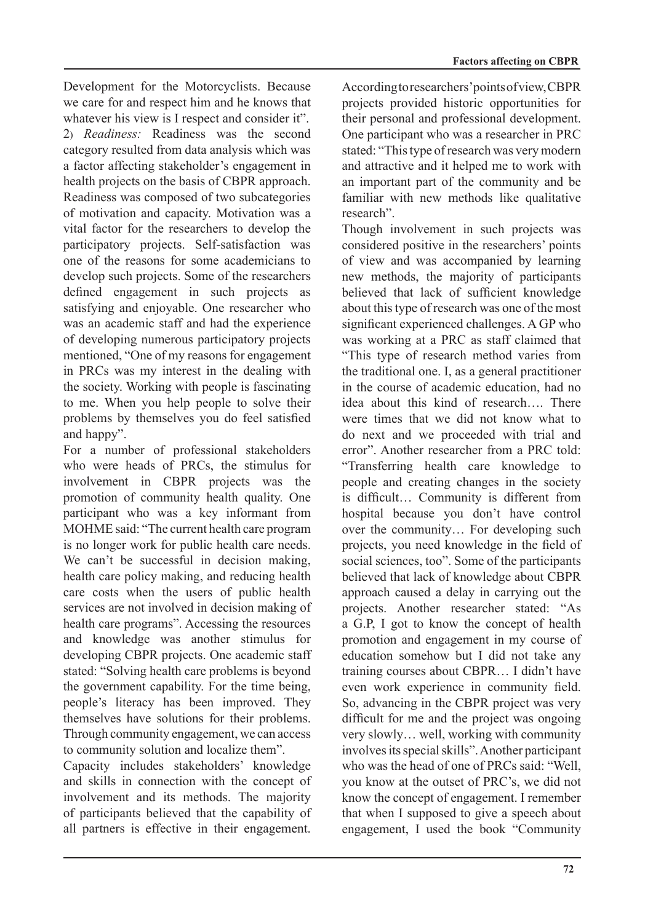Development for the Motorcyclists. Because we care for and respect him and he knows that whatever his view is I respect and consider it". 2) *Readiness:* Readiness was the second category resulted from data analysis which was a factor affecting stakeholder's engagement in health projects on the basis of CBPR approach. Readiness was composed of two subcategories of motivation and capacity. Motivation was a vital factor for the researchers to develop the participatory projects. Self-satisfaction was one of the reasons for some academicians to develop such projects. Some of the researchers defined engagement in such projects as satisfying and enjoyable. One researcher who was an academic staff and had the experience of developing numerous participatory projects mentioned, "One of my reasons for engagement" in PRCs was my interest in the dealing with the society. Working with people is fascinating to me. When you help people to solve their problems by themselves you do feel satisfied and happy".

For a number of professional stakeholders who were heads of PRCs, the stimulus for involvement in CBPR projects was the promotion of community health quality. One participant who was a key informant from MOHME said: "The current health care program is no longer work for public health care needs. We can't be successful in decision making, health care policy making, and reducing health care costs when the users of public health services are not involved in decision making of health care programs". Accessing the resources and knowledge was another stimulus for developing CBPR projects. One academic staff stated: "Solving health care problems is beyond the government capability. For the time being, people's literacy has been improved. They themselves have solutions for their problems. Through community engagement, we can access to community solution and localize them".

Capacity includes stakeholders' knowledge and skills in connection with the concept of involvement and its methods. The majority of participants believed that the capability of all partners is effective in their engagement. According to researchers' points of view, CBPR projects provided historic opportunities for their personal and professional development. One participant who was a researcher in PRC stated: "This type of research was very modern and attractive and it helped me to work with an important part of the community and be familiar with new methods like qualitative research".

Though involvement in such projects was considered positive in the researchers' points of view and was accompanied by learning new methods, the majority of participants believed that lack of sufficient knowledge about this type of research was one of the most significant experienced challenges. A GP who was working at a PRC as staff claimed that "This type of research method varies from the traditional one. I, as a general practitioner in the course of academic education, had no idea about this kind of research There were times that we did not know what to do next and we proceeded with trial and error". Another researcher from a PRC told: "Transferring health care knowledge to people and creating changes in the society is difficult... Community is different from hospital because you don't have control over the community ... For developing such projects, you need knowledge in the field of social sciences, too". Some of the participants believed that lack of knowledge about CBPR approach caused a delay in carrying out the projects. Another researcher stated: "As a G.P. I got to know the concept of health promotion and engagement in my course of education somehow but I did not take any training courses about CBPR... I didn't have even work experience in community field. So, advancing in the CBPR project was very difficult for me and the project was ongoing very slowly... well, working with community involves its special skills". Another participant who was the head of one of PRCs said: "Well, you know at the outset of PRC's, we did not know the concept of engagement. I remember that when I supposed to give a speech about engagement, I used the book "Community"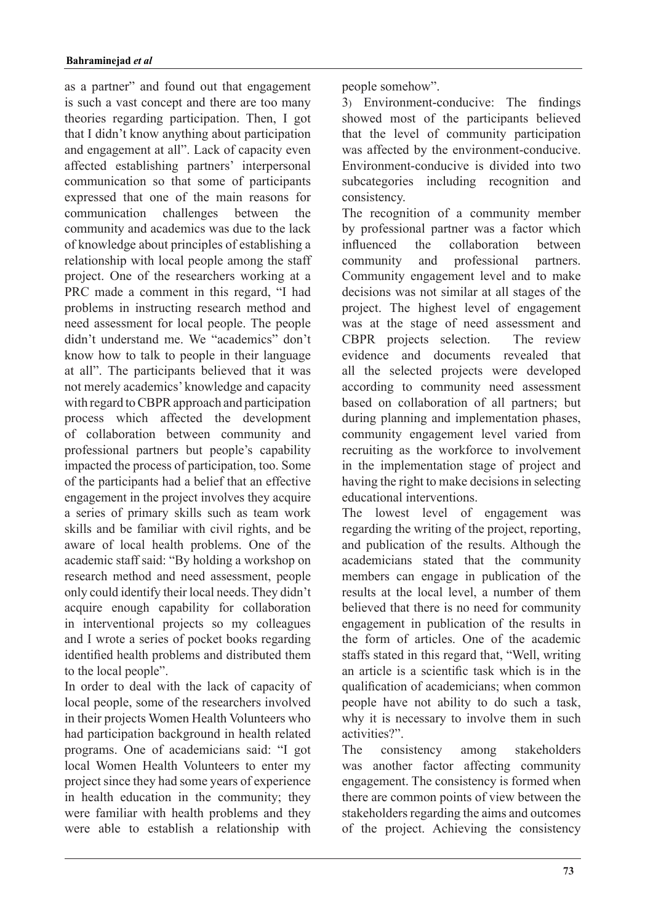as a partner" and found out that engagement is such a vast concept and there are too many theories regarding participation. Then, I got that I didn't know anything about participation and engagement at all". Lack of capacity even affected establishing partners' interpersonal communication so that some of participants expressed that one of the main reasons for communication challenges between community and academics was due to the lack of knowledge about principles of establishing a relationship with local people among the staff project. One of the researchers working at a PRC made a comment in this regard, "I had problems in instructing research method and need assessment for local people. The people didn't understand me. We "academics" don't know how to talk to people in their language at all". The participants believed that it was not merely academics' knowledge and capacity with regard to CBPR approach and participation process which affected the development of collaboration between community and professional partners but people's capability impacted the process of participation, too. Some of the participants had a belief that an effective engagement in the project involves they acquire a series of primary skills such as team work skills and be familiar with civil rights, and be aware of local health problems. One of the academic staff said: "By holding a workshop on research method and need assessment, people only could identify their local needs. They didn't acquire enough capability for collaboration in interventional projects so my colleagues and I wrote a series of pocket books regarding identified health problems and distributed them to the local people".

In order to deal with the lack of capacity of local people, some of the researchers involved in their projects Women Health Volunteers who had participation background in health related programs. One of academicians said: "I got local Women Health Volunteers to enter my project since they had some years of experience in health education in the community; they were familiar with health problems and they were able to establish a relationship with

people somehow".

3) Environment-conducive: The findings showed most of the participants believed that the level of community participation was affected by the environment-conducive. Environment-conducive is divided into two subcategories including recognition and .consistency

The recognition of a community member by professional partner was a factor which influenced the collaboration between community and professional partners. Community engagement level and to make decisions was not similar at all stages of the project. The highest level of engagement was at the stage of need assessment and CBPR projects selection. The review evidence and documents revealed that all the selected projects were developed according to community need assessment based on collaboration of all partners; but during planning and implementation phases, community engagement level varied from recruiting as the workforce to involvement in the implementation stage of project and having the right to make decisions in selecting educational interventions.

The lowest level of engagement was regarding the writing of the project, reporting, and publication of the results. Although the academicians stated that the community members can engage in publication of the results at the local level, a number of them believed that there is no need for community engagement in publication of the results in the form of articles. One of the academic staffs stated in this regard that. "Well, writing an article is a scientific task which is in the qualification of academicians; when common people have not ability to do such a task, why it is necessary to involve them in such activities?"

The consistency among stakeholders was another factor affecting community engagement. The consistency is formed when there are common points of view between the stakeholders regarding the aims and outcomes of the project. Achieving the consistency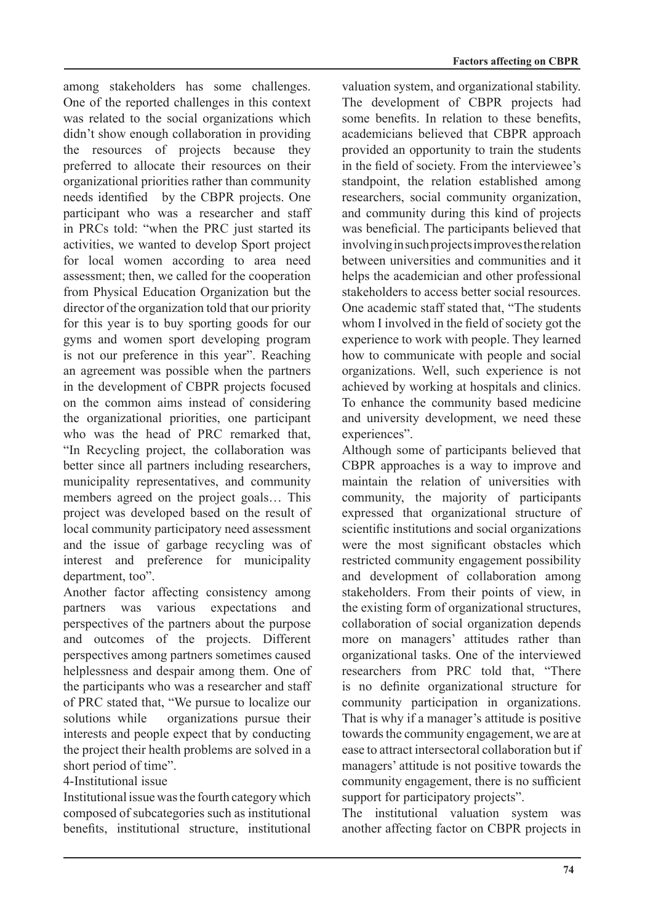among stakeholders has some challenges. One of the reported challenges in this context was related to the social organizations which didn't show enough collaboration in providing the resources of projects because they preferred to allocate their resources on their organizational priorities rather than community needs identified by the CBPR projects. One participant who was a researcher and staff in PRCs told: "when the PRC just started its activities, we wanted to develop Sport project for local women according to area need assessment; then, we called for the cooperation from Physical Education Organization but the director of the organization told that our priority for this year is to buy sporting goods for our gyms and women sport developing program is not our preference in this year". Reaching an agreement was possible when the partners in the development of CBPR projects focused on the common aims instead of considering the organizational priorities, one participant who was the head of PRC remarked that, "In Recycling project, the collaboration was better since all partners including researchers. municipality representatives, and community members agreed on the project goals... This project was developed based on the result of local community participatory need assessment and the issue of garbage recycling was of interest and preference for municipality department, too".

Another factor affecting consistency among partners was various expectations and perspectives of the partners about the purpose and outcomes of the projects. Different perspectives among partners sometimes caused helplessness and despair among them. One of the participants who was a researcher and staff of PRC stated that, "We pursue to localize our solutions while organizations pursue their interests and people expect that by conducting the project their health problems are solved in a short period of time".

4-Institutional issue

Institutional issue was the fourth category which composed of subcategories such as institutional benefits, institutional structure, institutional valuation system, and organizational stability. The development of CBPR projects had some benefits. In relation to these benefits, academicians believed that CBPR approach provided an opportunity to train the students in the field of society. From the interviewee's standpoint, the relation established among researchers, social community organization, and community during this kind of projects was beneficial. The participants believed that involving in such projects improves the relation between universities and communities and it helps the academician and other professional stakeholders to access better social resources. One academic staff stated that, "The students whom I involved in the field of society got the experience to work with people. They learned how to communicate with people and social organizations. Well, such experience is not achieved by working at hospitals and clinics. To enhance the community based medicine and university development, we need these experiences".

Although some of participants believed that CBPR approaches is a way to improve and maintain the relation of universities with community, the majority of participants expressed that organizational structure of scientific institutions and social organizations were the most significant obstacles which restricted community engagement possibility and development of collaboration among stakeholders. From their points of view, in the existing form of organizational structures, collaboration of social organization depends more on managers' attitudes rather than organizational tasks. One of the interviewed researchers from PRC told that, "There is no definite organizational structure for community participation in organizations. That is why if a manager's attitude is positive towards the community engagement, we are at ease to attract intersectoral collaboration but if managers' attitude is not positive towards the community engagement, there is no sufficient support for participatory projects".

The institutional valuation system was another affecting factor on CBPR projects in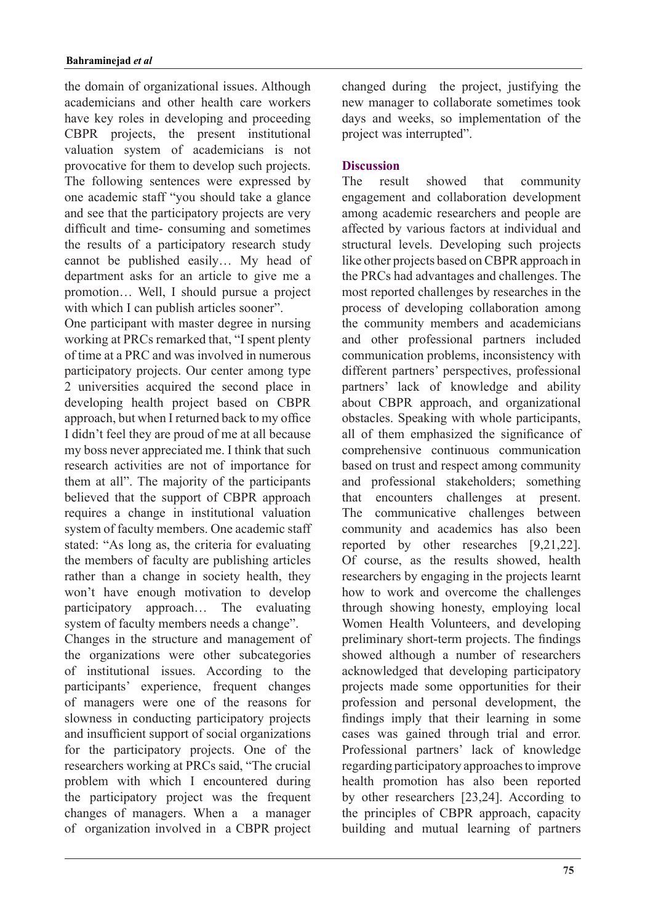the domain of organizational issues. Although academicians and other health care workers have key roles in developing and proceeding CBPR projects, the present institutional valuation system of academicians is not provocative for them to develop such projects. The following sentences were expressed by one academic staff "you should take a glance and see that the participatory projects are very difficult and time- consuming and sometimes the results of a participatory research study cannot be published easily... My head of department asks for an article to give me a promotion... Well, I should pursue a project with which I can publish articles sooner".

One participant with master degree in nursing working at PRCs remarked that, "I spent plenty of time at a PRC and was involved in numerous participatory projects. Our center among type 2 universities acquired the second place in developing health project based on CBPR approach, but when I returned back to my office I didn't feel they are proud of me at all because my boss never appreciated me. I think that such research activities are not of importance for them at all". The majority of the participants believed that the support of CBPR approach requires a change in institutional valuation system of faculty members. One academic staff stated: "As long as, the criteria for evaluating the members of faculty are publishing articles rather than a change in society health, they won't have enough motivation to develop participatory approach... The evaluating system of faculty members needs a change".

Changes in the structure and management of the organizations were other subcategories of institutional issues. According to the participants' experience, frequent changes of managers were one of the reasons for slowness in conducting participatory projects and insufficient support of social organizations for the participatory projects. One of the researchers working at PRCs said. "The crucial problem with which I encountered during the participatory project was the frequent changes of managers. When a a manager of organization involved in a CBPR project changed during the project, justifying the new manager to collaborate sometimes took days and weeks, so implementation of the project was interrupted".

## **Discussion**

The result showed that community engagement and collaboration development among academic researchers and people are affected by various factors at individual and structural levels. Developing such projects like other projects based on CBPR approach in the PRCs had advantages and challenges. The most reported challenges by researches in the process of developing collaboration among the community members and academicians and other professional partners included communication problems, inconsistency with different partners' perspectives, professional partners' lack of knowledge and ability about CBPR approach, and organizational obstacles. Speaking with whole participants, all of them emphasized the significance of comprehensive continuous communication based on trust and respect among community and professional stakeholders; something that encounters challenges at present. The communicative challenges between community and academics has also been reported by other researches  $[9,21,22]$ . Of course, as the results showed, health researchers by engaging in the projects learnt how to work and overcome the challenges through showing honesty, employing local Women Health Volunteers, and developing preliminary short-term projects. The findings showed although a number of researchers acknowledged that developing participatory projects made some opportunities for their profession and personal development, the findings imply that their learning in some cases was gained through trial and error. Professional partners' lack of knowledge regarding participatory approaches to improve health promotion has also been reported by other researchers  $[23,24]$ . According to the principles of CBPR approach, capacity building and mutual learning of partners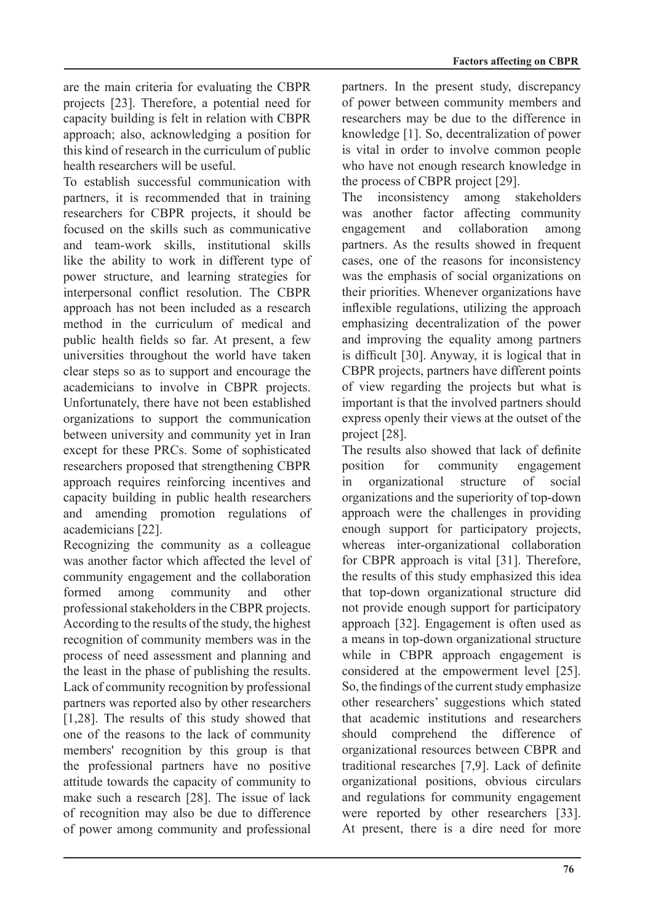are the main criteria for evaluating the CBPR projects [23]. Therefore, a potential need for capacity building is felt in relation with CBPR approach; also, acknowledging a position for this kind of research in the curriculum of public health researchers will be useful

To establish successful communication with partners, it is recommended that in training researchers for CBPR projects, it should be focused on the skills such as communicative and team-work skills, institutional skills like the ability to work in different type of power structure, and learning strategies for interpersonal conflict resolution. The CBPR approach has not been included as a research method in the curriculum of medical and public health fields so far. At present, a few universities throughout the world have taken clear steps so as to support and encourage the academicians to involve in CBPR projects. Unfortunately, there have not been established organizations to support the communication between university and community yet in Iran except for these PRCs. Some of sophisticated researchers proposed that strengthening CBPR approach requires reinforcing incentives and capacity building in public health researchers and amending promotion regulations of academicians [22].

Recognizing the community as a colleague was another factor which affected the level of community engagement and the collaboration formed among community and other professional stakeholders in the CBPR projects. According to the results of the study, the highest recognition of community members was in the process of need assessment and planning and the least in the phase of publishing the results. Lack of community recognition by professional partners was reported also by other researchers [1,28]. The results of this study showed that one of the reasons to the lack of community members' recognition by this group is that the professional partners have no positive attitude towards the capacity of community to make such a research [28]. The issue of lack of recognition may also be due to difference of power among community and professional partners. In the present study, discrepancy of power between community members and researchers may be due to the difference in knowledge  $[1]$ . So, decentralization of power is vital in order to involve common people who have not enough research knowledge in the process of CBPR project [29].

The inconsistency among stakeholders was another factor affecting community engagement and collaboration among partners. As the results showed in frequent cases, one of the reasons for inconsistency was the emphasis of social organizations on their priorities. Whenever organizations have inflexible regulations, utilizing the approach emphasizing decentralization of the power and improving the equality among partners is difficult  $[30]$ . Anyway, it is logical that in CBPR projects, partners have different points of view regarding the projects but what is important is that the involved partners should express openly their views at the outset of the project [28].

The results also showed that lack of definite position for community engagement in organizational structure of social organizations and the superiority of top-down approach were the challenges in providing enough support for participatory projects, whereas inter-organizational collaboration for CBPR approach is vital  $[31]$ . Therefore, the results of this study emphasized this idea that top-down organizational structure did not provide enough support for participatory approach [32]. Engagement is often used as a means in top-down organizational structure while in CBPR approach engagement is considered at the empowerment level  $[25]$ . So, the findings of the current study emphasize other researchers' suggestions which stated that academic institutions and researchers should comprehend the difference of organizational resources between CBPR and traditional researches [7,9]. Lack of definite organizational positions, obvious circulars and regulations for community engagement were reported by other researchers  $[33]$ . At present, there is a dire need for more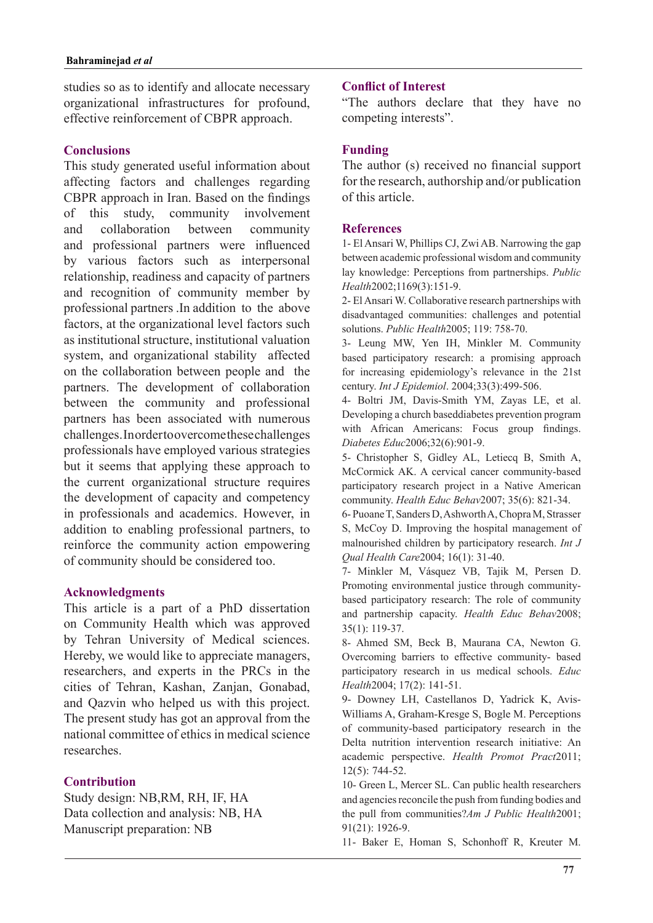studies so as to identify and allocate necessary organizational infrastructures for profound, effective reinforcement of CBPR approach.

## **Conclusions**

This study generated useful information about affecting factors and challenges regarding CBPR approach in Iran. Based on the findings of this study, community involvement and collaboration between community and professional partners were influenced by various factors such as interpersonal relationship, readiness and capacity of partners and recognition of community member by professional partners .In addition to the above factors, at the organizational level factors such as institutional structure, institutional valuation system, and organizational stability affected on the collaboration between people and the partners. The development of collaboration between the community and professional partners has been associated with numerous challenges. Inorder to overcome these challenges professionals have employed various strategies but it seems that applying these approach to the current organizational structure requires the development of capacity and competency in professionals and academics. However, in addition to enabling professional partners, to reinforce the community action empowering of community should be considered too.

#### **Acknowledgments**

This article is a part of a PhD dissertation on Community Health which was approved by Tehran University of Medical sciences. Hereby, we would like to appreciate managers, researchers, and experts in the PRCs in the cities of Tehran, Kashan, Zanjan, Gonabad, and Qazvin who helped us with this project. The present study has got an approval from the national committee of ethics in medical science .researches

## **Contribution**

Study design: NB,RM, RH, IF, HA Data collection and analysis: NB, HA Manuscript preparation: NB

## **Conflict of Interest**

"The authors declare that they have no competing interests".

## **Funding**

The author (s) received no financial support for the research, authorship and/or publication of this article.

#### **References**

1- El Ansari W, Phillips CJ, Zwi AB. Narrowing the gap between academic professional wisdom and community lay knowledge: Perceptions from partnerships. *Public* Health<sub>2002</sub>;1169(3):151-9.

2- El Ansari W. Collaborative research partnerships with disadvantaged communities: challenges and potential solutions. *Public Health* 2005; 119: 758-70.

3- Leung MW, Yen IH, Minkler M. Community based participatory research: a promising approach for increasing epidemiology's relevance in the 21st century. *Int J Epidemiol*. 2004;33(3):499-506.

4- Boltri JM, Davis-Smith YM, Zayas LE, et al. Developing a church baseddiabetes prevention program with African Americans: Focus group findings. Diabetes Educ 2006:32(6):901-9.

5- Christopher S, Gidley AL, Letiecq B, Smith A, McCormick AK. A cervical cancer community-based participatory research project in a Native American community. *Health Educ Behav* 2007; 35(6): 821-34.

6- Puoane T, Sanders D, Ashworth A, Chopra M, Strasser S, McCoy D. Improving the hospital management of malnourished children by participatory research. *Int J* Oual Health Care 2004; 16(1): 31-40.

7- Minkler M, Vásquez VB, Tajik M, Persen D. based participatory research: The role of community Promoting environmental justice through communityand partnership capacity. Health Educ Behav2008;  $35(1): 119-37.$ 

8- Ahmed SM, Beck B, Maurana CA, Newton G, Overcoming barriers to effective community- based participatory research in us medical schools. Educ Health<sub>2004</sub>; 17(2): 141-51.

Williams A, Graham-Kresge S, Bogle M. Perceptions 9- Downey LH, Castellanos D, Yadrick K, Avisof community-based participatory research in the Delta nutrition intervention research initiative: An academic perspective. Health Promot Pract2011;  $12(5)$ : 744-52.

10- Green L, Mercer SL. Can public health researchers and agencies reconcile the push from funding bodies and the pull from communities?*Am J Public Health* 2001; 91(21): 1926-9.

11- Baker E, Homan S, Schonhoff R, Kreuter M.